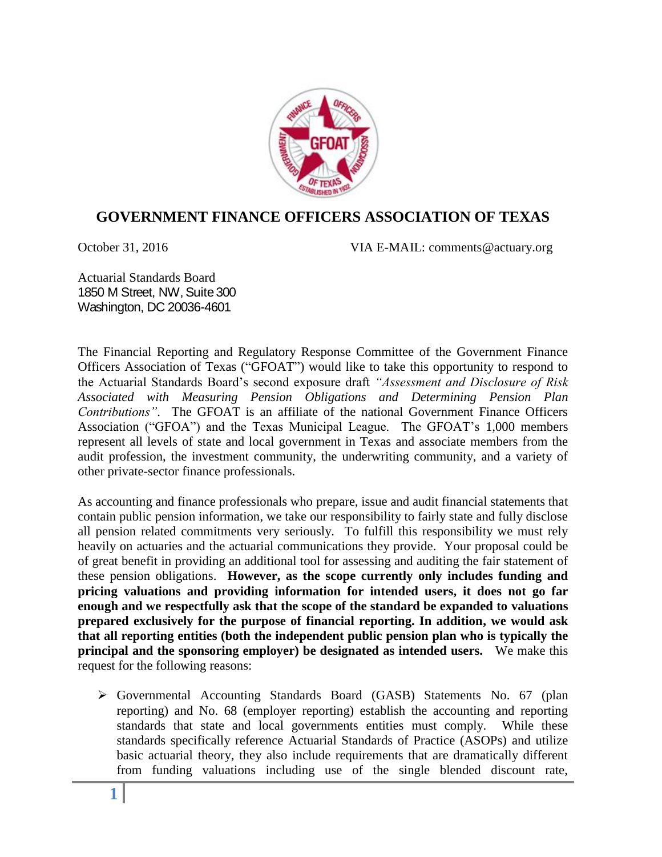

## **GOVERNMENT FINANCE OFFICERS ASSOCIATION OF TEXAS**

October 31, 2016 VIA E-MAIL: comments@actuary.org

Actuarial Standards Board 1850 M Street, NW, Suite 300 Washington, DC 20036-4601

The Financial Reporting and Regulatory Response Committee of the Government Finance Officers Association of Texas ("GFOAT") would like to take this opportunity to respond to the Actuarial Standards Board's second exposure draft *"Assessment and Disclosure of Risk Associated with Measuring Pension Obligations and Determining Pension Plan Contributions"*. The GFOAT is an affiliate of the national Government Finance Officers Association ("GFOA") and the Texas Municipal League. The GFOAT's 1,000 members represent all levels of state and local government in Texas and associate members from the audit profession, the investment community, the underwriting community, and a variety of other private-sector finance professionals.

As accounting and finance professionals who prepare, issue and audit financial statements that contain public pension information, we take our responsibility to fairly state and fully disclose all pension related commitments very seriously. To fulfill this responsibility we must rely heavily on actuaries and the actuarial communications they provide. Your proposal could be of great benefit in providing an additional tool for assessing and auditing the fair statement of these pension obligations. **However, as the scope currently only includes funding and pricing valuations and providing information for intended users, it does not go far enough and we respectfully ask that the scope of the standard be expanded to valuations prepared exclusively for the purpose of financial reporting. In addition, we would ask that all reporting entities (both the independent public pension plan who is typically the principal and the sponsoring employer) be designated as intended users.** We make this request for the following reasons:

 Governmental Accounting Standards Board (GASB) Statements No. 67 (plan reporting) and No. 68 (employer reporting) establish the accounting and reporting standards that state and local governments entities must comply. While these standards specifically reference Actuarial Standards of Practice (ASOPs) and utilize basic actuarial theory, they also include requirements that are dramatically different from funding valuations including use of the single blended discount rate,

**1**